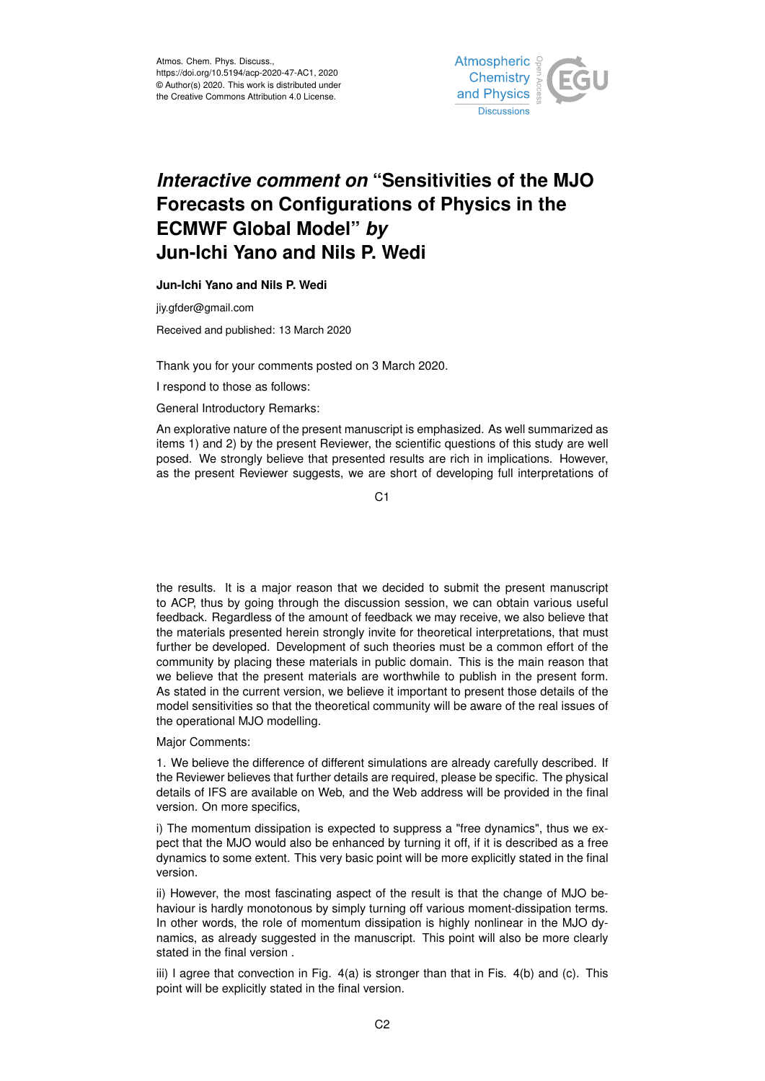

## *Interactive comment on* **"Sensitivities of the MJO Forecasts on Configurations of Physics in the ECMWF Global Model"** *by* **Jun-Ichi Yano and Nils P. Wedi**

**Jun-Ichi Yano and Nils P. Wedi**

jiy.gfder@gmail.com

Received and published: 13 March 2020

Thank you for your comments posted on 3 March 2020.

I respond to those as follows:

General Introductory Remarks:

An explorative nature of the present manuscript is emphasized. As well summarized as items 1) and 2) by the present Reviewer, the scientific questions of this study are well posed. We strongly believe that presented results are rich in implications. However, as the present Reviewer suggests, we are short of developing full interpretations of

C<sub>1</sub>

the results. It is a major reason that we decided to submit the present manuscript to ACP, thus by going through the discussion session, we can obtain various useful feedback. Regardless of the amount of feedback we may receive, we also believe that the materials presented herein strongly invite for theoretical interpretations, that must further be developed. Development of such theories must be a common effort of the community by placing these materials in public domain. This is the main reason that we believe that the present materials are worthwhile to publish in the present form. As stated in the current version, we believe it important to present those details of the model sensitivities so that the theoretical community will be aware of the real issues of the operational MJO modelling.

Major Comments:

1. We believe the difference of different simulations are already carefully described. If the Reviewer believes that further details are required, please be specific. The physical details of IFS are available on Web, and the Web address will be provided in the final version. On more specifics,

i) The momentum dissipation is expected to suppress a "free dynamics", thus we expect that the MJO would also be enhanced by turning it off, if it is described as a free dynamics to some extent. This very basic point will be more explicitly stated in the final version.

ii) However, the most fascinating aspect of the result is that the change of MJO behaviour is hardly monotonous by simply turning off various moment-dissipation terms. In other words, the role of momentum dissipation is highly nonlinear in the MJO dynamics, as already suggested in the manuscript. This point will also be more clearly stated in the final version .

iii) I agree that convection in Fig. 4(a) is stronger than that in Fis. 4(b) and (c). This point will be explicitly stated in the final version.